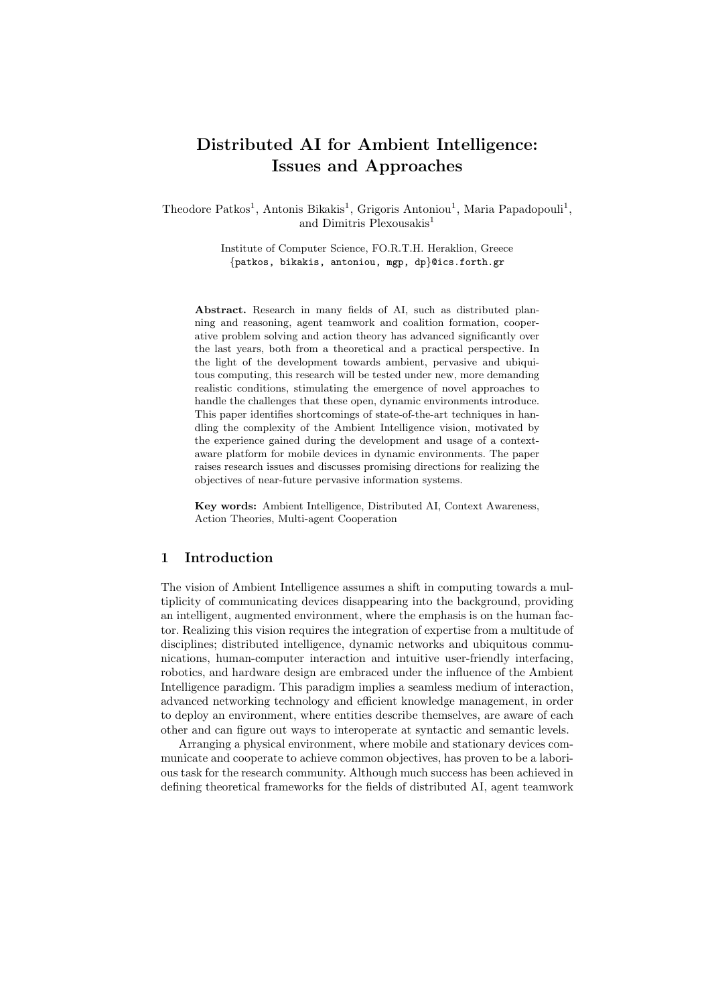# Distributed AI for Ambient Intelligence: Issues and Approaches

Theodore Patkos<sup>1</sup>, Antonis Bikakis<sup>1</sup>, Grigoris Antoniou<sup>1</sup>, Maria Papadopouli<sup>1</sup>, and Dimitris Plexousakis<sup>1</sup>

> Institute of Computer Science, FO.R.T.H. Heraklion, Greece {patkos, bikakis, antoniou, mgp, dp}@ics.forth.gr

Abstract. Research in many fields of AI, such as distributed planning and reasoning, agent teamwork and coalition formation, cooperative problem solving and action theory has advanced significantly over the last years, both from a theoretical and a practical perspective. In the light of the development towards ambient, pervasive and ubiquitous computing, this research will be tested under new, more demanding realistic conditions, stimulating the emergence of novel approaches to handle the challenges that these open, dynamic environments introduce. This paper identifies shortcomings of state-of-the-art techniques in handling the complexity of the Ambient Intelligence vision, motivated by the experience gained during the development and usage of a contextaware platform for mobile devices in dynamic environments. The paper raises research issues and discusses promising directions for realizing the objectives of near-future pervasive information systems.

Key words: Ambient Intelligence, Distributed AI, Context Awareness, Action Theories, Multi-agent Cooperation

# 1 Introduction

The vision of Ambient Intelligence assumes a shift in computing towards a multiplicity of communicating devices disappearing into the background, providing an intelligent, augmented environment, where the emphasis is on the human factor. Realizing this vision requires the integration of expertise from a multitude of disciplines; distributed intelligence, dynamic networks and ubiquitous communications, human-computer interaction and intuitive user-friendly interfacing, robotics, and hardware design are embraced under the influence of the Ambient Intelligence paradigm. This paradigm implies a seamless medium of interaction, advanced networking technology and efficient knowledge management, in order to deploy an environment, where entities describe themselves, are aware of each other and can figure out ways to interoperate at syntactic and semantic levels.

Arranging a physical environment, where mobile and stationary devices communicate and cooperate to achieve common objectives, has proven to be a laborious task for the research community. Although much success has been achieved in defining theoretical frameworks for the fields of distributed AI, agent teamwork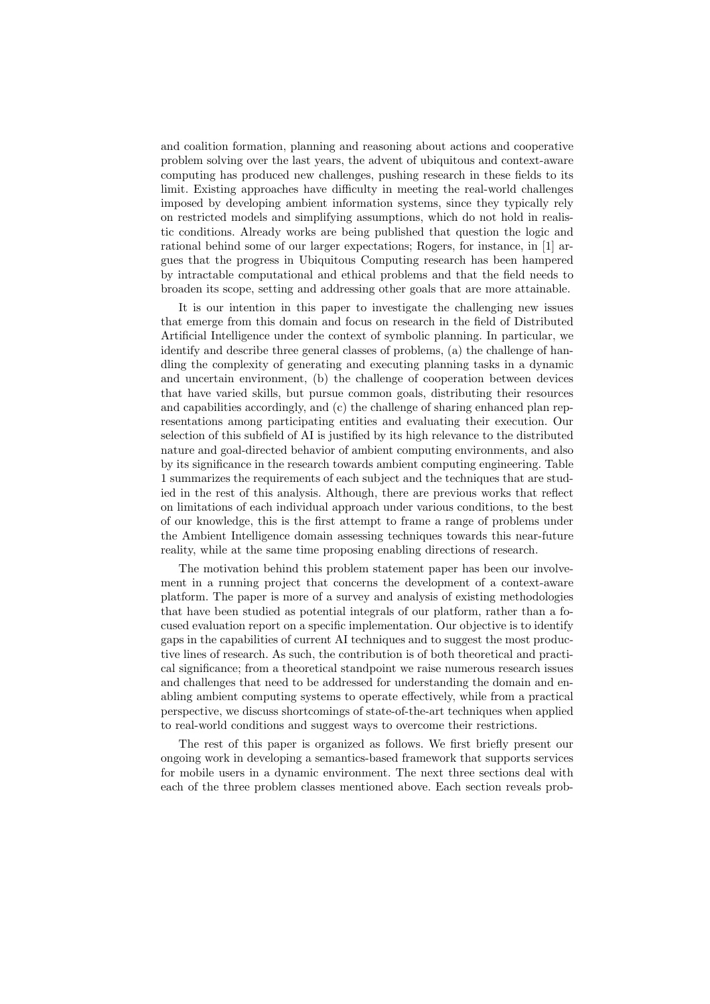and coalition formation, planning and reasoning about actions and cooperative problem solving over the last years, the advent of ubiquitous and context-aware computing has produced new challenges, pushing research in these fields to its limit. Existing approaches have difficulty in meeting the real-world challenges imposed by developing ambient information systems, since they typically rely on restricted models and simplifying assumptions, which do not hold in realistic conditions. Already works are being published that question the logic and rational behind some of our larger expectations; Rogers, for instance, in [1] argues that the progress in Ubiquitous Computing research has been hampered by intractable computational and ethical problems and that the field needs to broaden its scope, setting and addressing other goals that are more attainable.

It is our intention in this paper to investigate the challenging new issues that emerge from this domain and focus on research in the field of Distributed Artificial Intelligence under the context of symbolic planning. In particular, we identify and describe three general classes of problems, (a) the challenge of handling the complexity of generating and executing planning tasks in a dynamic and uncertain environment, (b) the challenge of cooperation between devices that have varied skills, but pursue common goals, distributing their resources and capabilities accordingly, and (c) the challenge of sharing enhanced plan representations among participating entities and evaluating their execution. Our selection of this subfield of AI is justified by its high relevance to the distributed nature and goal-directed behavior of ambient computing environments, and also by its significance in the research towards ambient computing engineering. Table 1 summarizes the requirements of each subject and the techniques that are studied in the rest of this analysis. Although, there are previous works that reflect on limitations of each individual approach under various conditions, to the best of our knowledge, this is the first attempt to frame a range of problems under the Ambient Intelligence domain assessing techniques towards this near-future reality, while at the same time proposing enabling directions of research.

The motivation behind this problem statement paper has been our involvement in a running project that concerns the development of a context-aware platform. The paper is more of a survey and analysis of existing methodologies that have been studied as potential integrals of our platform, rather than a focused evaluation report on a specific implementation. Our objective is to identify gaps in the capabilities of current AI techniques and to suggest the most productive lines of research. As such, the contribution is of both theoretical and practical significance; from a theoretical standpoint we raise numerous research issues and challenges that need to be addressed for understanding the domain and enabling ambient computing systems to operate effectively, while from a practical perspective, we discuss shortcomings of state-of-the-art techniques when applied to real-world conditions and suggest ways to overcome their restrictions.

The rest of this paper is organized as follows. We first briefly present our ongoing work in developing a semantics-based framework that supports services for mobile users in a dynamic environment. The next three sections deal with each of the three problem classes mentioned above. Each section reveals prob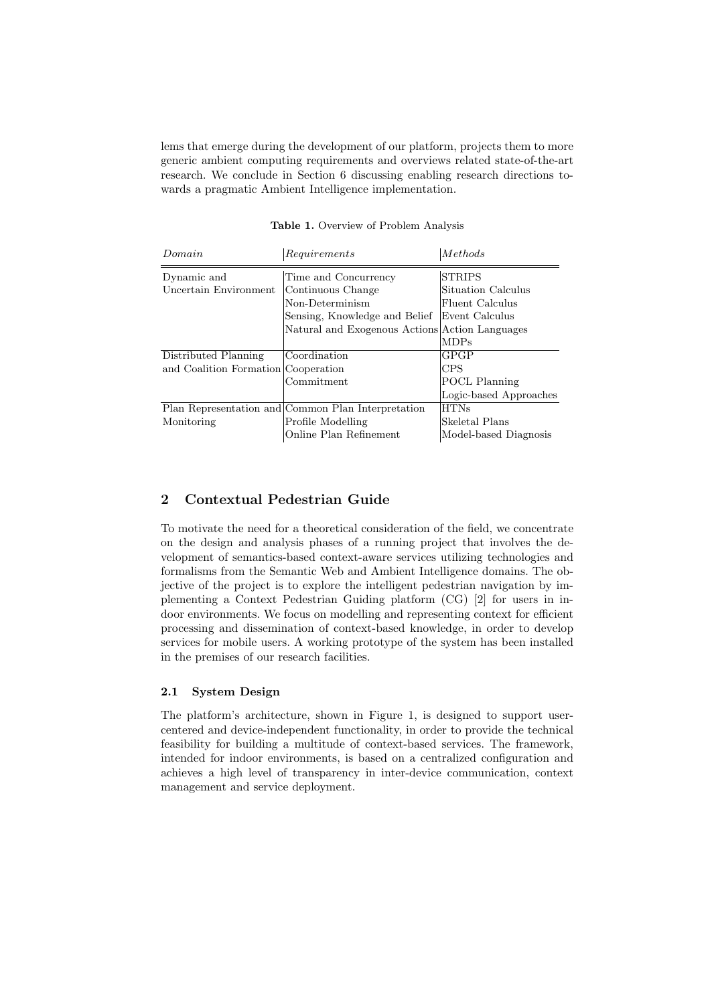lems that emerge during the development of our platform, projects them to more generic ambient computing requirements and overviews related state-of-the-art research. We conclude in Section 6 discussing enabling research directions towards a pragmatic Ambient Intelligence implementation.

| Domain                  | Requirements                                       | Methods                |
|-------------------------|----------------------------------------------------|------------------------|
| Dynamic and             | Time and Concurrency                               | <b>STRIPS</b>          |
| Uncertain Environment   | Continuous Change                                  | Situation Calculus     |
|                         | Non-Determinism                                    | Fluent Calculus        |
|                         | Sensing, Knowledge and Belief                      | Event Calculus         |
|                         | Natural and Exogenous Actions Action Languages     |                        |
|                         |                                                    | <b>MDPs</b>            |
| Distributed Planning    | Coordination                                       | GPGP                   |
| and Coalition Formation | Cooperation                                        | <b>CPS</b>             |
|                         | Commitment                                         | <b>POCL Planning</b>   |
|                         |                                                    | Logic-based Approaches |
|                         | Plan Representation and Common Plan Interpretation | <b>HTNs</b>            |
| Monitoring              | Profile Modelling                                  | Skeletal Plans         |
|                         | Online Plan Refinement                             | Model-based Diagnosis  |

Table 1. Overview of Problem Analysis

# 2 Contextual Pedestrian Guide

To motivate the need for a theoretical consideration of the field, we concentrate on the design and analysis phases of a running project that involves the development of semantics-based context-aware services utilizing technologies and formalisms from the Semantic Web and Ambient Intelligence domains. The objective of the project is to explore the intelligent pedestrian navigation by implementing a Context Pedestrian Guiding platform (CG) [2] for users in indoor environments. We focus on modelling and representing context for efficient processing and dissemination of context-based knowledge, in order to develop services for mobile users. A working prototype of the system has been installed in the premises of our research facilities.

# 2.1 System Design

The platform's architecture, shown in Figure 1, is designed to support usercentered and device-independent functionality, in order to provide the technical feasibility for building a multitude of context-based services. The framework, intended for indoor environments, is based on a centralized configuration and achieves a high level of transparency in inter-device communication, context management and service deployment.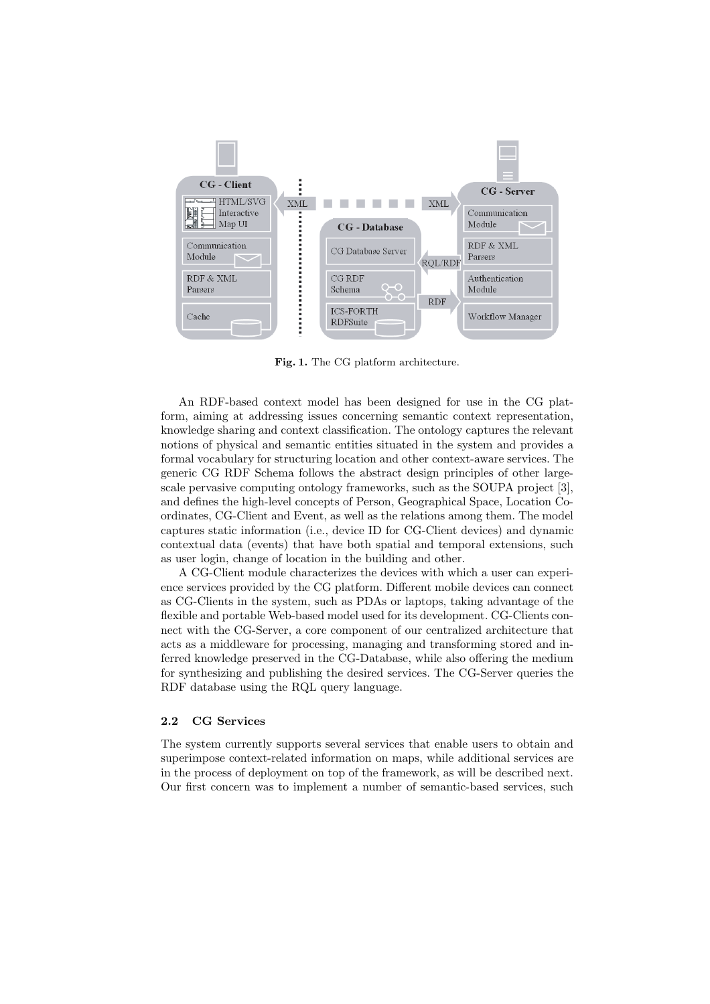

Fig. 1. The CG platform architecture.

An RDF-based context model has been designed for use in the CG platform, aiming at addressing issues concerning semantic context representation, knowledge sharing and context classification. The ontology captures the relevant notions of physical and semantic entities situated in the system and provides a formal vocabulary for structuring location and other context-aware services. The generic CG RDF Schema follows the abstract design principles of other largescale pervasive computing ontology frameworks, such as the SOUPA project [3], and defines the high-level concepts of Person, Geographical Space, Location Coordinates, CG-Client and Event, as well as the relations among them. The model captures static information (i.e., device ID for CG-Client devices) and dynamic contextual data (events) that have both spatial and temporal extensions, such as user login, change of location in the building and other.

A CG-Client module characterizes the devices with which a user can experience services provided by the CG platform. Different mobile devices can connect as CG-Clients in the system, such as PDAs or laptops, taking advantage of the flexible and portable Web-based model used for its development. CG-Clients connect with the CG-Server, a core component of our centralized architecture that acts as a middleware for processing, managing and transforming stored and inferred knowledge preserved in the CG-Database, while also offering the medium for synthesizing and publishing the desired services. The CG-Server queries the RDF database using the RQL query language.

#### 2.2 CG Services

The system currently supports several services that enable users to obtain and superimpose context-related information on maps, while additional services are in the process of deployment on top of the framework, as will be described next. Our first concern was to implement a number of semantic-based services, such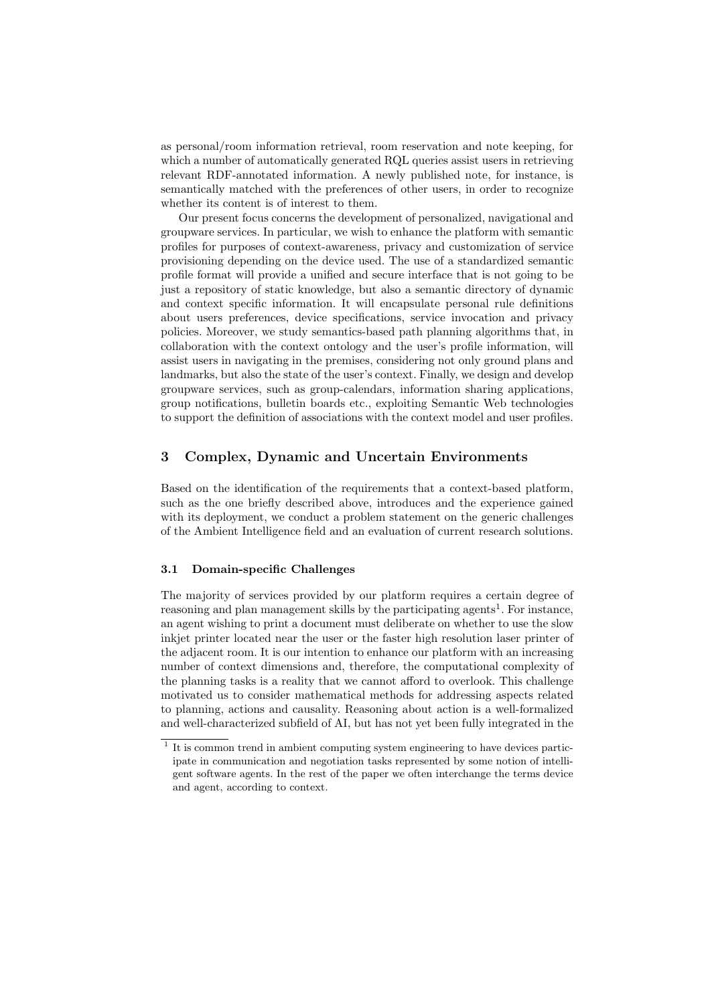as personal/room information retrieval, room reservation and note keeping, for which a number of automatically generated RQL queries assist users in retrieving relevant RDF-annotated information. A newly published note, for instance, is semantically matched with the preferences of other users, in order to recognize whether its content is of interest to them.

Our present focus concerns the development of personalized, navigational and groupware services. In particular, we wish to enhance the platform with semantic profiles for purposes of context-awareness, privacy and customization of service provisioning depending on the device used. The use of a standardized semantic profile format will provide a unified and secure interface that is not going to be just a repository of static knowledge, but also a semantic directory of dynamic and context specific information. It will encapsulate personal rule definitions about users preferences, device specifications, service invocation and privacy policies. Moreover, we study semantics-based path planning algorithms that, in collaboration with the context ontology and the user's profile information, will assist users in navigating in the premises, considering not only ground plans and landmarks, but also the state of the user's context. Finally, we design and develop groupware services, such as group-calendars, information sharing applications, group notifications, bulletin boards etc., exploiting Semantic Web technologies to support the definition of associations with the context model and user profiles.

# 3 Complex, Dynamic and Uncertain Environments

Based on the identification of the requirements that a context-based platform, such as the one briefly described above, introduces and the experience gained with its deployment, we conduct a problem statement on the generic challenges of the Ambient Intelligence field and an evaluation of current research solutions.

#### 3.1 Domain-specific Challenges

The majority of services provided by our platform requires a certain degree of reasoning and plan management skills by the participating agents<sup>1</sup>. For instance, an agent wishing to print a document must deliberate on whether to use the slow inkjet printer located near the user or the faster high resolution laser printer of the adjacent room. It is our intention to enhance our platform with an increasing number of context dimensions and, therefore, the computational complexity of the planning tasks is a reality that we cannot afford to overlook. This challenge motivated us to consider mathematical methods for addressing aspects related to planning, actions and causality. Reasoning about action is a well-formalized and well-characterized subfield of AI, but has not yet been fully integrated in the

<sup>&</sup>lt;sup>1</sup> It is common trend in ambient computing system engineering to have devices participate in communication and negotiation tasks represented by some notion of intelligent software agents. In the rest of the paper we often interchange the terms device and agent, according to context.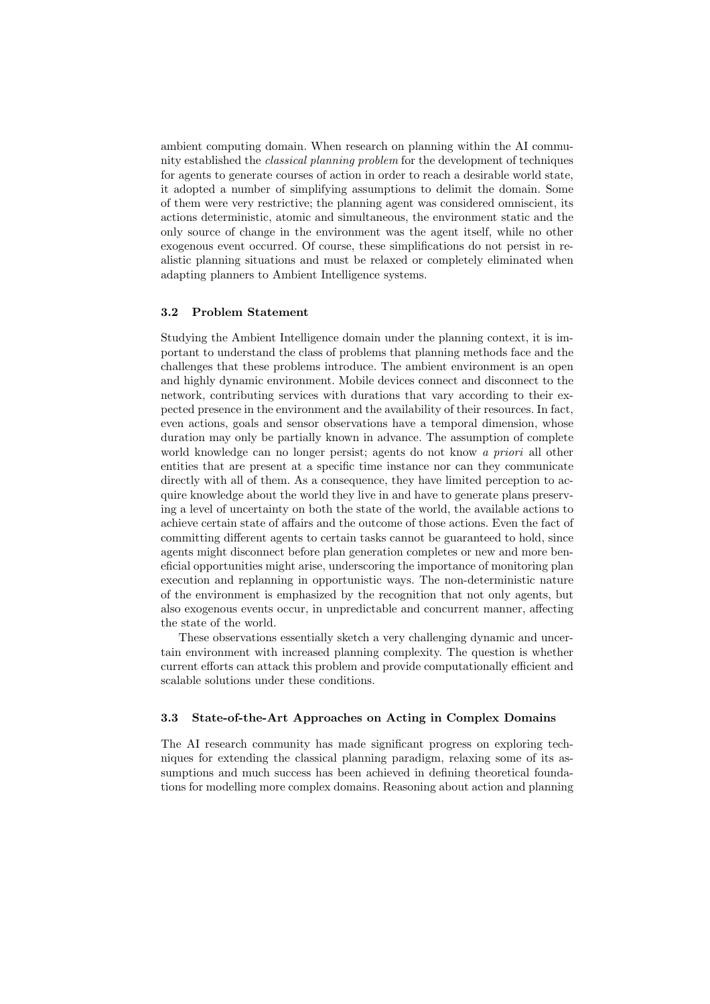ambient computing domain. When research on planning within the AI community established the classical planning problem for the development of techniques for agents to generate courses of action in order to reach a desirable world state, it adopted a number of simplifying assumptions to delimit the domain. Some of them were very restrictive; the planning agent was considered omniscient, its actions deterministic, atomic and simultaneous, the environment static and the only source of change in the environment was the agent itself, while no other exogenous event occurred. Of course, these simplifications do not persist in realistic planning situations and must be relaxed or completely eliminated when adapting planners to Ambient Intelligence systems.

#### 3.2 Problem Statement

Studying the Ambient Intelligence domain under the planning context, it is important to understand the class of problems that planning methods face and the challenges that these problems introduce. The ambient environment is an open and highly dynamic environment. Mobile devices connect and disconnect to the network, contributing services with durations that vary according to their expected presence in the environment and the availability of their resources. In fact, even actions, goals and sensor observations have a temporal dimension, whose duration may only be partially known in advance. The assumption of complete world knowledge can no longer persist; agents do not know a priori all other entities that are present at a specific time instance nor can they communicate directly with all of them. As a consequence, they have limited perception to acquire knowledge about the world they live in and have to generate plans preserving a level of uncertainty on both the state of the world, the available actions to achieve certain state of affairs and the outcome of those actions. Even the fact of committing different agents to certain tasks cannot be guaranteed to hold, since agents might disconnect before plan generation completes or new and more beneficial opportunities might arise, underscoring the importance of monitoring plan execution and replanning in opportunistic ways. The non-deterministic nature of the environment is emphasized by the recognition that not only agents, but also exogenous events occur, in unpredictable and concurrent manner, affecting the state of the world.

These observations essentially sketch a very challenging dynamic and uncertain environment with increased planning complexity. The question is whether current efforts can attack this problem and provide computationally efficient and scalable solutions under these conditions.

#### 3.3 State-of-the-Art Approaches on Acting in Complex Domains

The AI research community has made significant progress on exploring techniques for extending the classical planning paradigm, relaxing some of its assumptions and much success has been achieved in defining theoretical foundations for modelling more complex domains. Reasoning about action and planning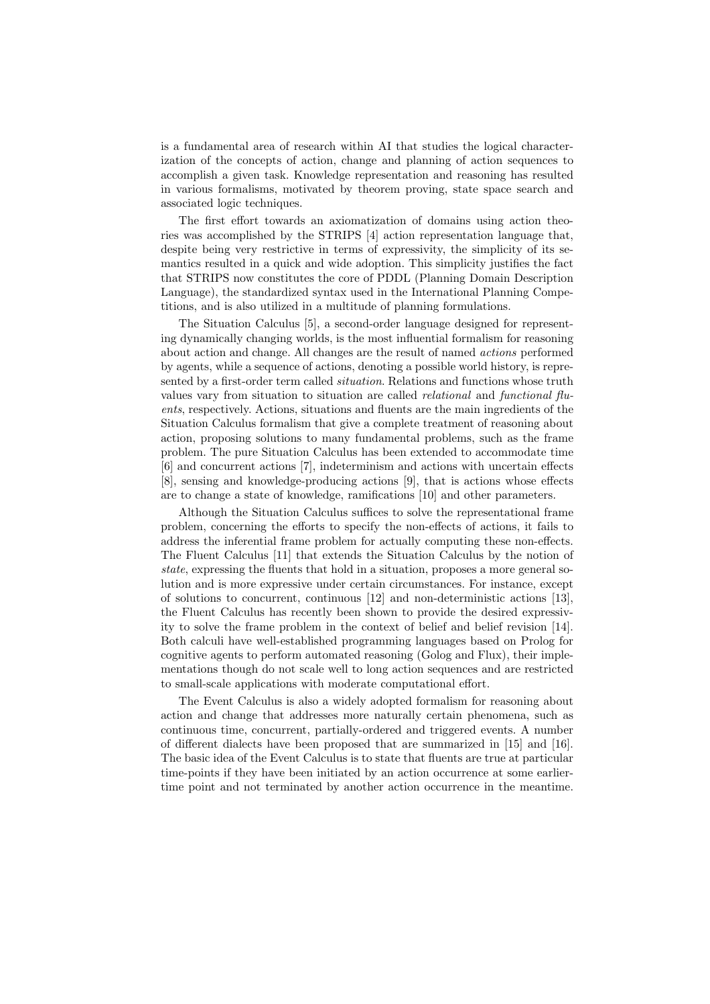is a fundamental area of research within AI that studies the logical characterization of the concepts of action, change and planning of action sequences to accomplish a given task. Knowledge representation and reasoning has resulted in various formalisms, motivated by theorem proving, state space search and associated logic techniques.

The first effort towards an axiomatization of domains using action theories was accomplished by the STRIPS [4] action representation language that, despite being very restrictive in terms of expressivity, the simplicity of its semantics resulted in a quick and wide adoption. This simplicity justifies the fact that STRIPS now constitutes the core of PDDL (Planning Domain Description Language), the standardized syntax used in the International Planning Competitions, and is also utilized in a multitude of planning formulations.

The Situation Calculus [5], a second-order language designed for representing dynamically changing worlds, is the most influential formalism for reasoning about action and change. All changes are the result of named actions performed by agents, while a sequence of actions, denoting a possible world history, is represented by a first-order term called *situation*. Relations and functions whose truth values vary from situation to situation are called relational and functional fluents, respectively. Actions, situations and fluents are the main ingredients of the Situation Calculus formalism that give a complete treatment of reasoning about action, proposing solutions to many fundamental problems, such as the frame problem. The pure Situation Calculus has been extended to accommodate time [6] and concurrent actions [7], indeterminism and actions with uncertain effects [8], sensing and knowledge-producing actions [9], that is actions whose effects are to change a state of knowledge, ramifications [10] and other parameters.

Although the Situation Calculus suffices to solve the representational frame problem, concerning the efforts to specify the non-effects of actions, it fails to address the inferential frame problem for actually computing these non-effects. The Fluent Calculus [11] that extends the Situation Calculus by the notion of state, expressing the fluents that hold in a situation, proposes a more general solution and is more expressive under certain circumstances. For instance, except of solutions to concurrent, continuous [12] and non-deterministic actions [13], the Fluent Calculus has recently been shown to provide the desired expressivity to solve the frame problem in the context of belief and belief revision [14]. Both calculi have well-established programming languages based on Prolog for cognitive agents to perform automated reasoning (Golog and Flux), their implementations though do not scale well to long action sequences and are restricted to small-scale applications with moderate computational effort.

The Event Calculus is also a widely adopted formalism for reasoning about action and change that addresses more naturally certain phenomena, such as continuous time, concurrent, partially-ordered and triggered events. A number of different dialects have been proposed that are summarized in [15] and [16]. The basic idea of the Event Calculus is to state that fluents are true at particular time-points if they have been initiated by an action occurrence at some earliertime point and not terminated by another action occurrence in the meantime.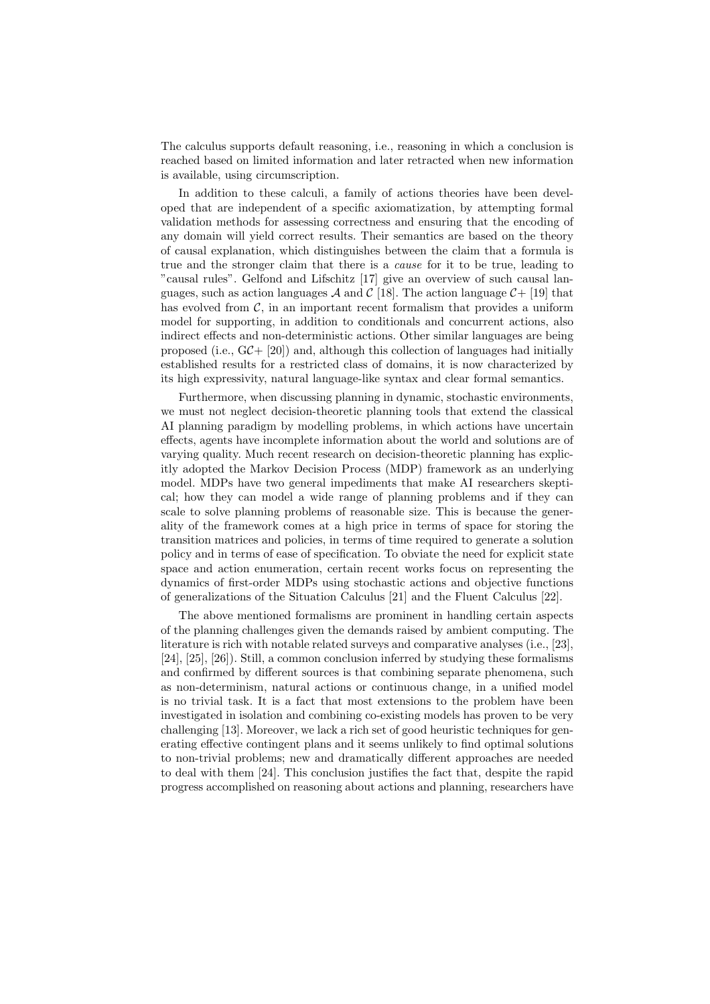The calculus supports default reasoning, i.e., reasoning in which a conclusion is reached based on limited information and later retracted when new information is available, using circumscription.

In addition to these calculi, a family of actions theories have been developed that are independent of a specific axiomatization, by attempting formal validation methods for assessing correctness and ensuring that the encoding of any domain will yield correct results. Their semantics are based on the theory of causal explanation, which distinguishes between the claim that a formula is true and the stronger claim that there is a cause for it to be true, leading to "causal rules". Gelfond and Lifschitz [17] give an overview of such causal languages, such as action languages A and C [18]. The action language  $C+[19]$  that has evolved from  $\mathcal{C}$ , in an important recent formalism that provides a uniform model for supporting, in addition to conditionals and concurrent actions, also indirect effects and non-deterministic actions. Other similar languages are being proposed (i.e.,  $G\mathcal{C}+20$ ) and, although this collection of languages had initially established results for a restricted class of domains, it is now characterized by its high expressivity, natural language-like syntax and clear formal semantics.

Furthermore, when discussing planning in dynamic, stochastic environments, we must not neglect decision-theoretic planning tools that extend the classical AI planning paradigm by modelling problems, in which actions have uncertain effects, agents have incomplete information about the world and solutions are of varying quality. Much recent research on decision-theoretic planning has explicitly adopted the Markov Decision Process (MDP) framework as an underlying model. MDPs have two general impediments that make AI researchers skeptical; how they can model a wide range of planning problems and if they can scale to solve planning problems of reasonable size. This is because the generality of the framework comes at a high price in terms of space for storing the transition matrices and policies, in terms of time required to generate a solution policy and in terms of ease of specification. To obviate the need for explicit state space and action enumeration, certain recent works focus on representing the dynamics of first-order MDPs using stochastic actions and objective functions of generalizations of the Situation Calculus [21] and the Fluent Calculus [22].

The above mentioned formalisms are prominent in handling certain aspects of the planning challenges given the demands raised by ambient computing. The literature is rich with notable related surveys and comparative analyses (i.e., [23], [24], [25], [26]). Still, a common conclusion inferred by studying these formalisms and confirmed by different sources is that combining separate phenomena, such as non-determinism, natural actions or continuous change, in a unified model is no trivial task. It is a fact that most extensions to the problem have been investigated in isolation and combining co-existing models has proven to be very challenging [13]. Moreover, we lack a rich set of good heuristic techniques for generating effective contingent plans and it seems unlikely to find optimal solutions to non-trivial problems; new and dramatically different approaches are needed to deal with them [24]. This conclusion justifies the fact that, despite the rapid progress accomplished on reasoning about actions and planning, researchers have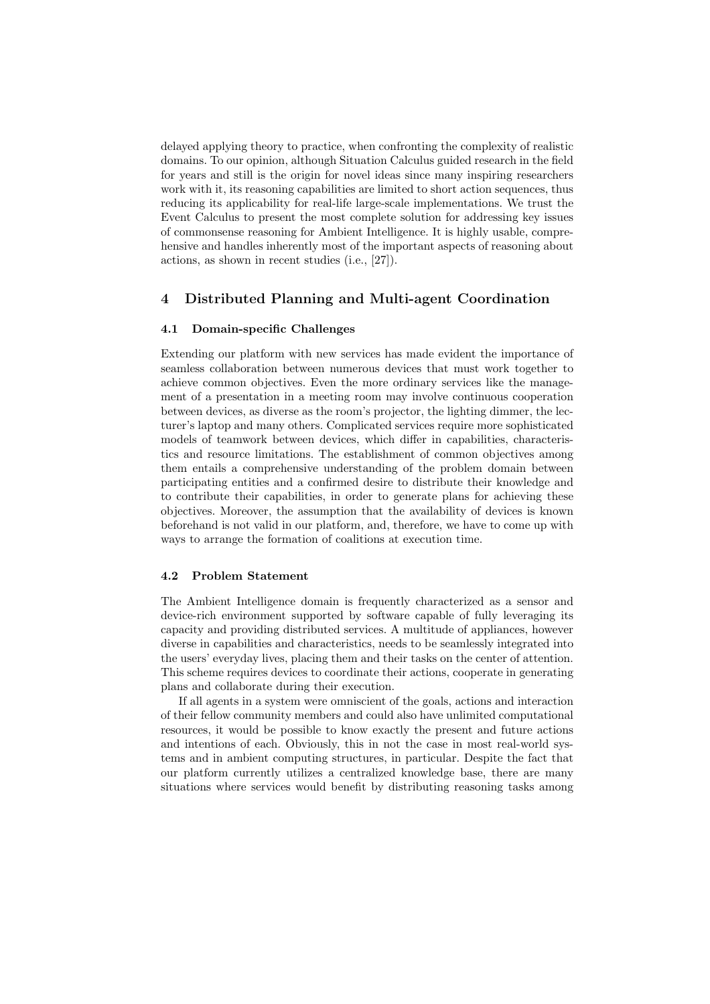delayed applying theory to practice, when confronting the complexity of realistic domains. To our opinion, although Situation Calculus guided research in the field for years and still is the origin for novel ideas since many inspiring researchers work with it, its reasoning capabilities are limited to short action sequences, thus reducing its applicability for real-life large-scale implementations. We trust the Event Calculus to present the most complete solution for addressing key issues of commonsense reasoning for Ambient Intelligence. It is highly usable, comprehensive and handles inherently most of the important aspects of reasoning about actions, as shown in recent studies (i.e., [27]).

# 4 Distributed Planning and Multi-agent Coordination

#### 4.1 Domain-specific Challenges

Extending our platform with new services has made evident the importance of seamless collaboration between numerous devices that must work together to achieve common objectives. Even the more ordinary services like the management of a presentation in a meeting room may involve continuous cooperation between devices, as diverse as the room's projector, the lighting dimmer, the lecturer's laptop and many others. Complicated services require more sophisticated models of teamwork between devices, which differ in capabilities, characteristics and resource limitations. The establishment of common objectives among them entails a comprehensive understanding of the problem domain between participating entities and a confirmed desire to distribute their knowledge and to contribute their capabilities, in order to generate plans for achieving these objectives. Moreover, the assumption that the availability of devices is known beforehand is not valid in our platform, and, therefore, we have to come up with ways to arrange the formation of coalitions at execution time.

#### 4.2 Problem Statement

The Ambient Intelligence domain is frequently characterized as a sensor and device-rich environment supported by software capable of fully leveraging its capacity and providing distributed services. A multitude of appliances, however diverse in capabilities and characteristics, needs to be seamlessly integrated into the users' everyday lives, placing them and their tasks on the center of attention. This scheme requires devices to coordinate their actions, cooperate in generating plans and collaborate during their execution.

If all agents in a system were omniscient of the goals, actions and interaction of their fellow community members and could also have unlimited computational resources, it would be possible to know exactly the present and future actions and intentions of each. Obviously, this in not the case in most real-world systems and in ambient computing structures, in particular. Despite the fact that our platform currently utilizes a centralized knowledge base, there are many situations where services would benefit by distributing reasoning tasks among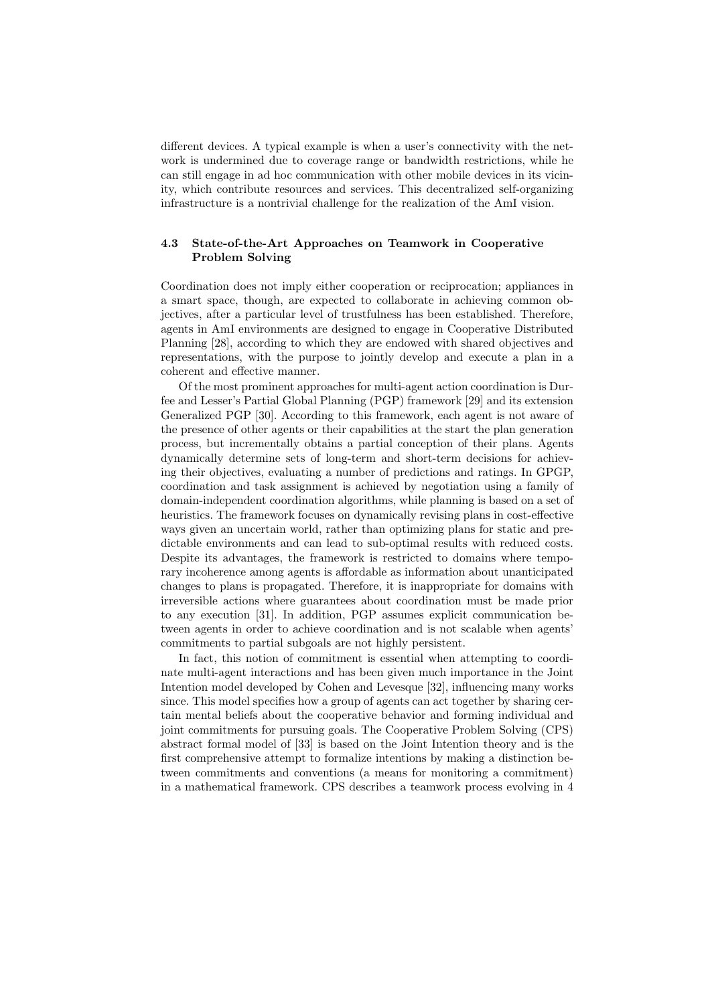different devices. A typical example is when a user's connectivity with the network is undermined due to coverage range or bandwidth restrictions, while he can still engage in ad hoc communication with other mobile devices in its vicinity, which contribute resources and services. This decentralized self-organizing infrastructure is a nontrivial challenge for the realization of the AmI vision.

### 4.3 State-of-the-Art Approaches on Teamwork in Cooperative Problem Solving

Coordination does not imply either cooperation or reciprocation; appliances in a smart space, though, are expected to collaborate in achieving common objectives, after a particular level of trustfulness has been established. Therefore, agents in AmI environments are designed to engage in Cooperative Distributed Planning [28], according to which they are endowed with shared objectives and representations, with the purpose to jointly develop and execute a plan in a coherent and effective manner.

Of the most prominent approaches for multi-agent action coordination is Durfee and Lesser's Partial Global Planning (PGP) framework [29] and its extension Generalized PGP [30]. According to this framework, each agent is not aware of the presence of other agents or their capabilities at the start the plan generation process, but incrementally obtains a partial conception of their plans. Agents dynamically determine sets of long-term and short-term decisions for achieving their objectives, evaluating a number of predictions and ratings. In GPGP, coordination and task assignment is achieved by negotiation using a family of domain-independent coordination algorithms, while planning is based on a set of heuristics. The framework focuses on dynamically revising plans in cost-effective ways given an uncertain world, rather than optimizing plans for static and predictable environments and can lead to sub-optimal results with reduced costs. Despite its advantages, the framework is restricted to domains where temporary incoherence among agents is affordable as information about unanticipated changes to plans is propagated. Therefore, it is inappropriate for domains with irreversible actions where guarantees about coordination must be made prior to any execution [31]. In addition, PGP assumes explicit communication between agents in order to achieve coordination and is not scalable when agents' commitments to partial subgoals are not highly persistent.

In fact, this notion of commitment is essential when attempting to coordinate multi-agent interactions and has been given much importance in the Joint Intention model developed by Cohen and Levesque [32], influencing many works since. This model specifies how a group of agents can act together by sharing certain mental beliefs about the cooperative behavior and forming individual and joint commitments for pursuing goals. The Cooperative Problem Solving (CPS) abstract formal model of [33] is based on the Joint Intention theory and is the first comprehensive attempt to formalize intentions by making a distinction between commitments and conventions (a means for monitoring a commitment) in a mathematical framework. CPS describes a teamwork process evolving in 4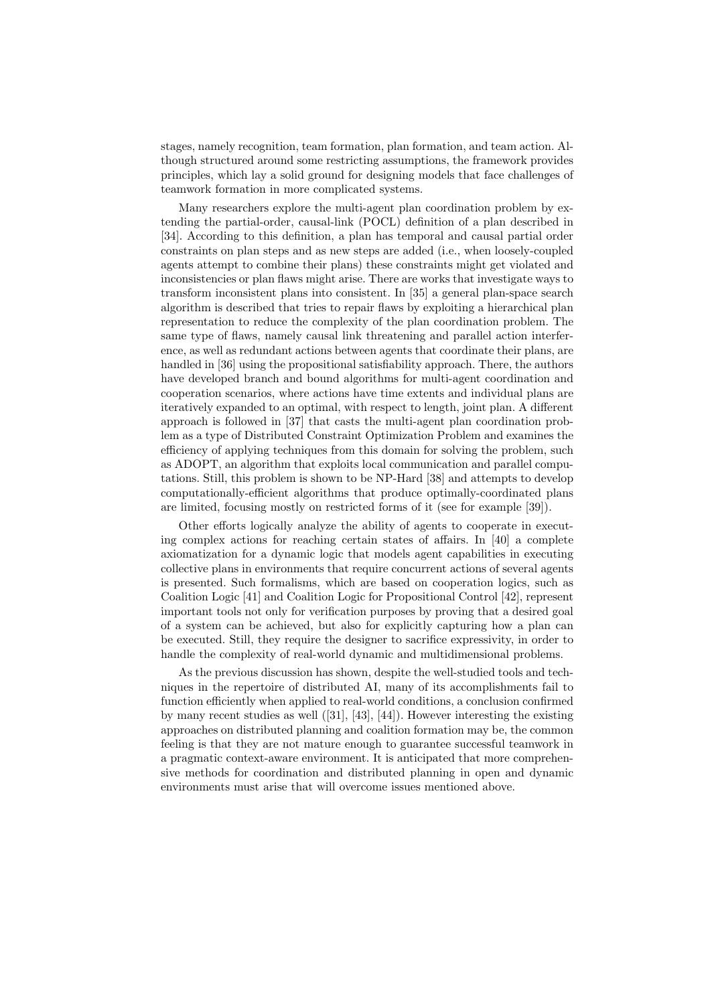stages, namely recognition, team formation, plan formation, and team action. Although structured around some restricting assumptions, the framework provides principles, which lay a solid ground for designing models that face challenges of teamwork formation in more complicated systems.

Many researchers explore the multi-agent plan coordination problem by extending the partial-order, causal-link (POCL) definition of a plan described in [34]. According to this definition, a plan has temporal and causal partial order constraints on plan steps and as new steps are added (i.e., when loosely-coupled agents attempt to combine their plans) these constraints might get violated and inconsistencies or plan flaws might arise. There are works that investigate ways to transform inconsistent plans into consistent. In [35] a general plan-space search algorithm is described that tries to repair flaws by exploiting a hierarchical plan representation to reduce the complexity of the plan coordination problem. The same type of flaws, namely causal link threatening and parallel action interference, as well as redundant actions between agents that coordinate their plans, are handled in [36] using the propositional satisfiability approach. There, the authors have developed branch and bound algorithms for multi-agent coordination and cooperation scenarios, where actions have time extents and individual plans are iteratively expanded to an optimal, with respect to length, joint plan. A different approach is followed in [37] that casts the multi-agent plan coordination problem as a type of Distributed Constraint Optimization Problem and examines the efficiency of applying techniques from this domain for solving the problem, such as ADOPT, an algorithm that exploits local communication and parallel computations. Still, this problem is shown to be NP-Hard [38] and attempts to develop computationally-efficient algorithms that produce optimally-coordinated plans are limited, focusing mostly on restricted forms of it (see for example [39]).

Other efforts logically analyze the ability of agents to cooperate in executing complex actions for reaching certain states of affairs. In [40] a complete axiomatization for a dynamic logic that models agent capabilities in executing collective plans in environments that require concurrent actions of several agents is presented. Such formalisms, which are based on cooperation logics, such as Coalition Logic [41] and Coalition Logic for Propositional Control [42], represent important tools not only for verification purposes by proving that a desired goal of a system can be achieved, but also for explicitly capturing how a plan can be executed. Still, they require the designer to sacrifice expressivity, in order to handle the complexity of real-world dynamic and multidimensional problems.

As the previous discussion has shown, despite the well-studied tools and techniques in the repertoire of distributed AI, many of its accomplishments fail to function efficiently when applied to real-world conditions, a conclusion confirmed by many recent studies as well  $([31], [43], [44])$ . However interesting the existing approaches on distributed planning and coalition formation may be, the common feeling is that they are not mature enough to guarantee successful teamwork in a pragmatic context-aware environment. It is anticipated that more comprehensive methods for coordination and distributed planning in open and dynamic environments must arise that will overcome issues mentioned above.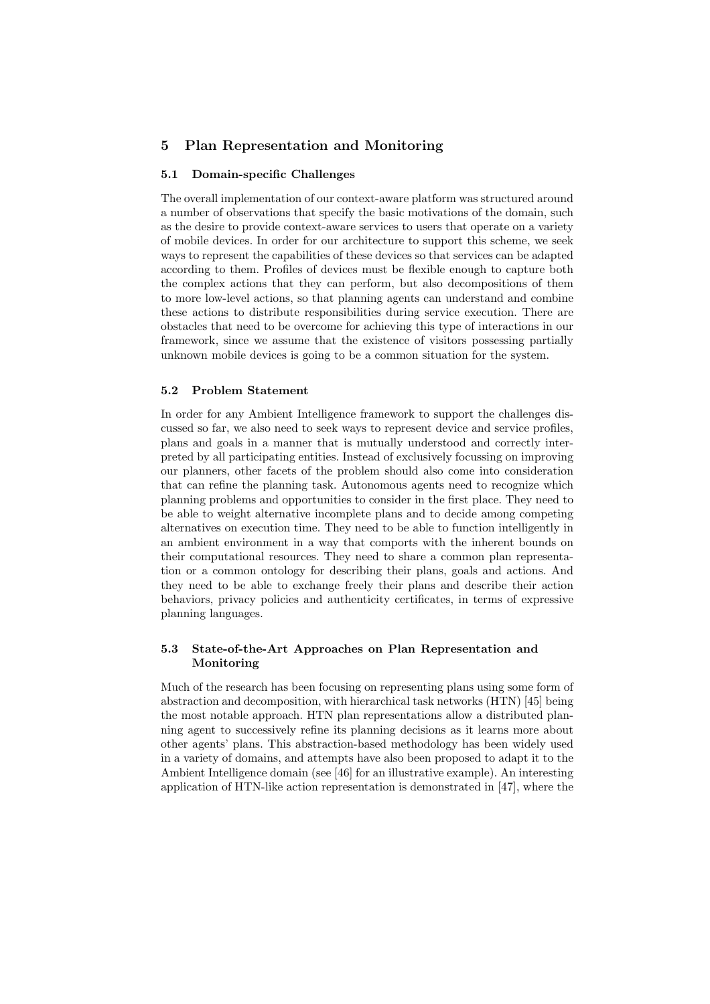# 5 Plan Representation and Monitoring

# 5.1 Domain-specific Challenges

The overall implementation of our context-aware platform was structured around a number of observations that specify the basic motivations of the domain, such as the desire to provide context-aware services to users that operate on a variety of mobile devices. In order for our architecture to support this scheme, we seek ways to represent the capabilities of these devices so that services can be adapted according to them. Profiles of devices must be flexible enough to capture both the complex actions that they can perform, but also decompositions of them to more low-level actions, so that planning agents can understand and combine these actions to distribute responsibilities during service execution. There are obstacles that need to be overcome for achieving this type of interactions in our framework, since we assume that the existence of visitors possessing partially unknown mobile devices is going to be a common situation for the system.

#### 5.2 Problem Statement

In order for any Ambient Intelligence framework to support the challenges discussed so far, we also need to seek ways to represent device and service profiles, plans and goals in a manner that is mutually understood and correctly interpreted by all participating entities. Instead of exclusively focussing on improving our planners, other facets of the problem should also come into consideration that can refine the planning task. Autonomous agents need to recognize which planning problems and opportunities to consider in the first place. They need to be able to weight alternative incomplete plans and to decide among competing alternatives on execution time. They need to be able to function intelligently in an ambient environment in a way that comports with the inherent bounds on their computational resources. They need to share a common plan representation or a common ontology for describing their plans, goals and actions. And they need to be able to exchange freely their plans and describe their action behaviors, privacy policies and authenticity certificates, in terms of expressive planning languages.

# 5.3 State-of-the-Art Approaches on Plan Representation and Monitoring

Much of the research has been focusing on representing plans using some form of abstraction and decomposition, with hierarchical task networks (HTN) [45] being the most notable approach. HTN plan representations allow a distributed planning agent to successively refine its planning decisions as it learns more about other agents' plans. This abstraction-based methodology has been widely used in a variety of domains, and attempts have also been proposed to adapt it to the Ambient Intelligence domain (see [46] for an illustrative example). An interesting application of HTN-like action representation is demonstrated in [47], where the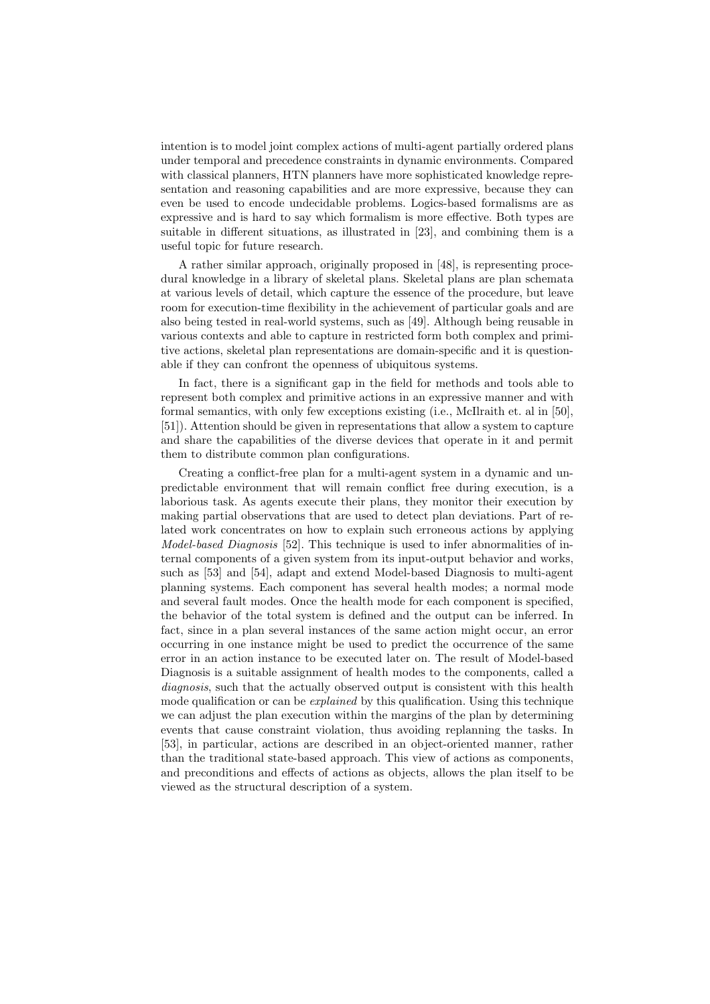intention is to model joint complex actions of multi-agent partially ordered plans under temporal and precedence constraints in dynamic environments. Compared with classical planners, HTN planners have more sophisticated knowledge representation and reasoning capabilities and are more expressive, because they can even be used to encode undecidable problems. Logics-based formalisms are as expressive and is hard to say which formalism is more effective. Both types are suitable in different situations, as illustrated in [23], and combining them is a useful topic for future research.

A rather similar approach, originally proposed in [48], is representing procedural knowledge in a library of skeletal plans. Skeletal plans are plan schemata at various levels of detail, which capture the essence of the procedure, but leave room for execution-time flexibility in the achievement of particular goals and are also being tested in real-world systems, such as [49]. Although being reusable in various contexts and able to capture in restricted form both complex and primitive actions, skeletal plan representations are domain-specific and it is questionable if they can confront the openness of ubiquitous systems.

In fact, there is a significant gap in the field for methods and tools able to represent both complex and primitive actions in an expressive manner and with formal semantics, with only few exceptions existing (i.e., McIlraith et. al in [50], [51]). Attention should be given in representations that allow a system to capture and share the capabilities of the diverse devices that operate in it and permit them to distribute common plan configurations.

Creating a conflict-free plan for a multi-agent system in a dynamic and unpredictable environment that will remain conflict free during execution, is a laborious task. As agents execute their plans, they monitor their execution by making partial observations that are used to detect plan deviations. Part of related work concentrates on how to explain such erroneous actions by applying Model-based Diagnosis [52]. This technique is used to infer abnormalities of internal components of a given system from its input-output behavior and works, such as [53] and [54], adapt and extend Model-based Diagnosis to multi-agent planning systems. Each component has several health modes; a normal mode and several fault modes. Once the health mode for each component is specified, the behavior of the total system is defined and the output can be inferred. In fact, since in a plan several instances of the same action might occur, an error occurring in one instance might be used to predict the occurrence of the same error in an action instance to be executed later on. The result of Model-based Diagnosis is a suitable assignment of health modes to the components, called a diagnosis, such that the actually observed output is consistent with this health mode qualification or can be *explained* by this qualification. Using this technique we can adjust the plan execution within the margins of the plan by determining events that cause constraint violation, thus avoiding replanning the tasks. In [53], in particular, actions are described in an object-oriented manner, rather than the traditional state-based approach. This view of actions as components, and preconditions and effects of actions as objects, allows the plan itself to be viewed as the structural description of a system.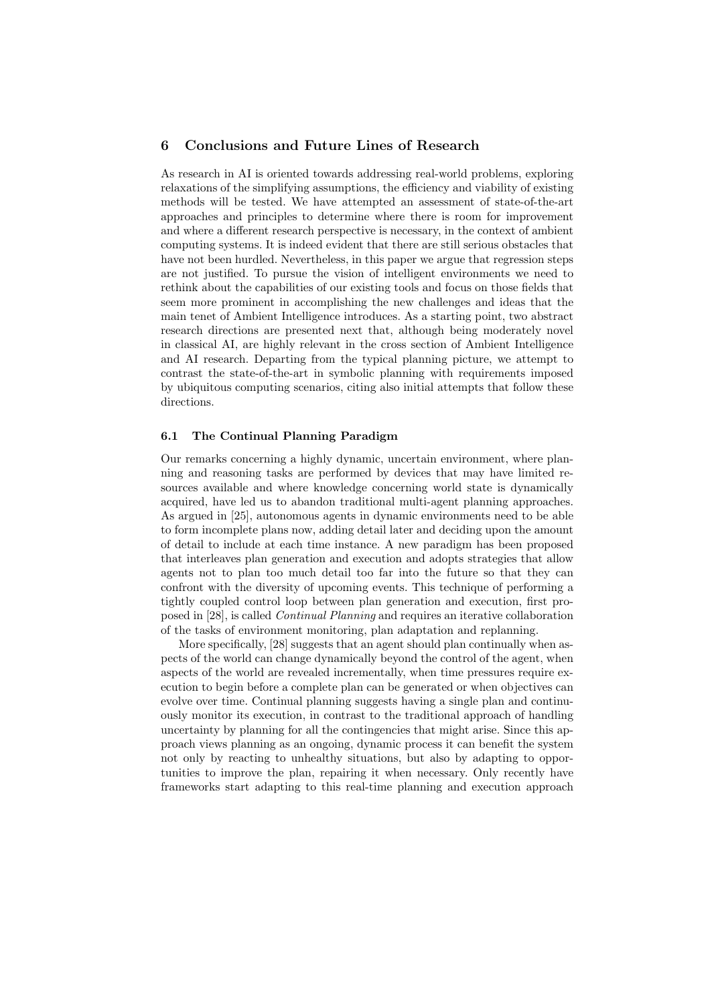#### 6 Conclusions and Future Lines of Research

As research in AI is oriented towards addressing real-world problems, exploring relaxations of the simplifying assumptions, the efficiency and viability of existing methods will be tested. We have attempted an assessment of state-of-the-art approaches and principles to determine where there is room for improvement and where a different research perspective is necessary, in the context of ambient computing systems. It is indeed evident that there are still serious obstacles that have not been hurdled. Nevertheless, in this paper we argue that regression steps are not justified. To pursue the vision of intelligent environments we need to rethink about the capabilities of our existing tools and focus on those fields that seem more prominent in accomplishing the new challenges and ideas that the main tenet of Ambient Intelligence introduces. As a starting point, two abstract research directions are presented next that, although being moderately novel in classical AI, are highly relevant in the cross section of Ambient Intelligence and AI research. Departing from the typical planning picture, we attempt to contrast the state-of-the-art in symbolic planning with requirements imposed by ubiquitous computing scenarios, citing also initial attempts that follow these directions.

# 6.1 The Continual Planning Paradigm

Our remarks concerning a highly dynamic, uncertain environment, where planning and reasoning tasks are performed by devices that may have limited resources available and where knowledge concerning world state is dynamically acquired, have led us to abandon traditional multi-agent planning approaches. As argued in [25], autonomous agents in dynamic environments need to be able to form incomplete plans now, adding detail later and deciding upon the amount of detail to include at each time instance. A new paradigm has been proposed that interleaves plan generation and execution and adopts strategies that allow agents not to plan too much detail too far into the future so that they can confront with the diversity of upcoming events. This technique of performing a tightly coupled control loop between plan generation and execution, first proposed in [28], is called Continual Planning and requires an iterative collaboration of the tasks of environment monitoring, plan adaptation and replanning.

More specifically, [28] suggests that an agent should plan continually when aspects of the world can change dynamically beyond the control of the agent, when aspects of the world are revealed incrementally, when time pressures require execution to begin before a complete plan can be generated or when objectives can evolve over time. Continual planning suggests having a single plan and continuously monitor its execution, in contrast to the traditional approach of handling uncertainty by planning for all the contingencies that might arise. Since this approach views planning as an ongoing, dynamic process it can benefit the system not only by reacting to unhealthy situations, but also by adapting to opportunities to improve the plan, repairing it when necessary. Only recently have frameworks start adapting to this real-time planning and execution approach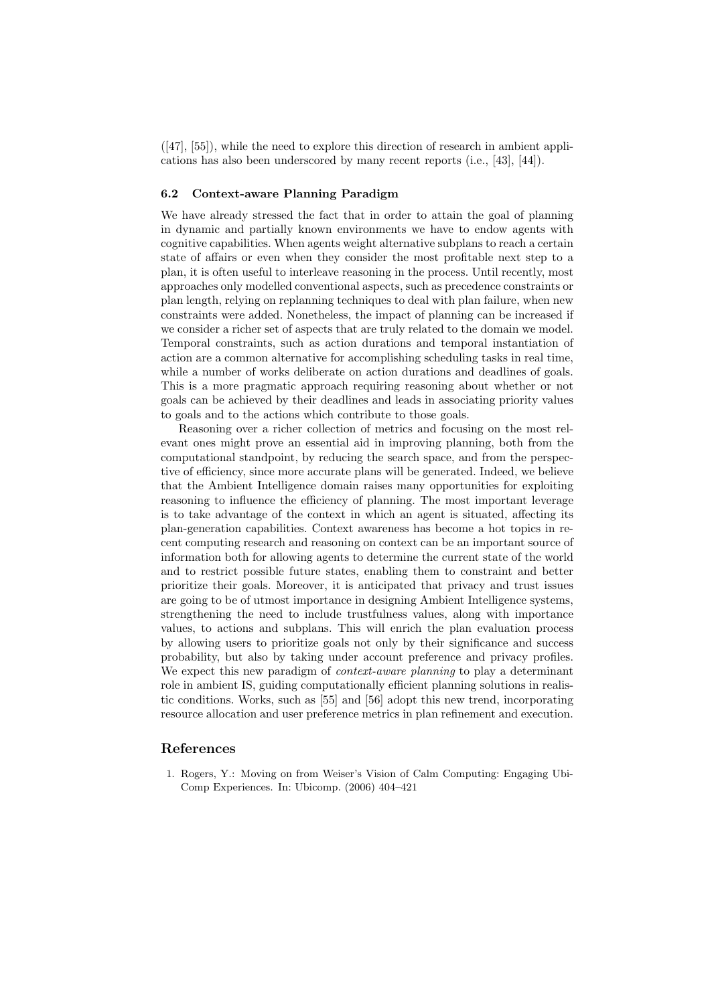([47], [55]), while the need to explore this direction of research in ambient applications has also been underscored by many recent reports (i.e., [43], [44]).

#### 6.2 Context-aware Planning Paradigm

We have already stressed the fact that in order to attain the goal of planning in dynamic and partially known environments we have to endow agents with cognitive capabilities. When agents weight alternative subplans to reach a certain state of affairs or even when they consider the most profitable next step to a plan, it is often useful to interleave reasoning in the process. Until recently, most approaches only modelled conventional aspects, such as precedence constraints or plan length, relying on replanning techniques to deal with plan failure, when new constraints were added. Nonetheless, the impact of planning can be increased if we consider a richer set of aspects that are truly related to the domain we model. Temporal constraints, such as action durations and temporal instantiation of action are a common alternative for accomplishing scheduling tasks in real time, while a number of works deliberate on action durations and deadlines of goals. This is a more pragmatic approach requiring reasoning about whether or not goals can be achieved by their deadlines and leads in associating priority values to goals and to the actions which contribute to those goals.

Reasoning over a richer collection of metrics and focusing on the most relevant ones might prove an essential aid in improving planning, both from the computational standpoint, by reducing the search space, and from the perspective of efficiency, since more accurate plans will be generated. Indeed, we believe that the Ambient Intelligence domain raises many opportunities for exploiting reasoning to influence the efficiency of planning. The most important leverage is to take advantage of the context in which an agent is situated, affecting its plan-generation capabilities. Context awareness has become a hot topics in recent computing research and reasoning on context can be an important source of information both for allowing agents to determine the current state of the world and to restrict possible future states, enabling them to constraint and better prioritize their goals. Moreover, it is anticipated that privacy and trust issues are going to be of utmost importance in designing Ambient Intelligence systems, strengthening the need to include trustfulness values, along with importance values, to actions and subplans. This will enrich the plan evaluation process by allowing users to prioritize goals not only by their significance and success probability, but also by taking under account preference and privacy profiles. We expect this new paradigm of *context-aware planning* to play a determinant role in ambient IS, guiding computationally efficient planning solutions in realistic conditions. Works, such as [55] and [56] adopt this new trend, incorporating resource allocation and user preference metrics in plan refinement and execution.

# References

1. Rogers, Y.: Moving on from Weiser's Vision of Calm Computing: Engaging Ubi-Comp Experiences. In: Ubicomp. (2006) 404–421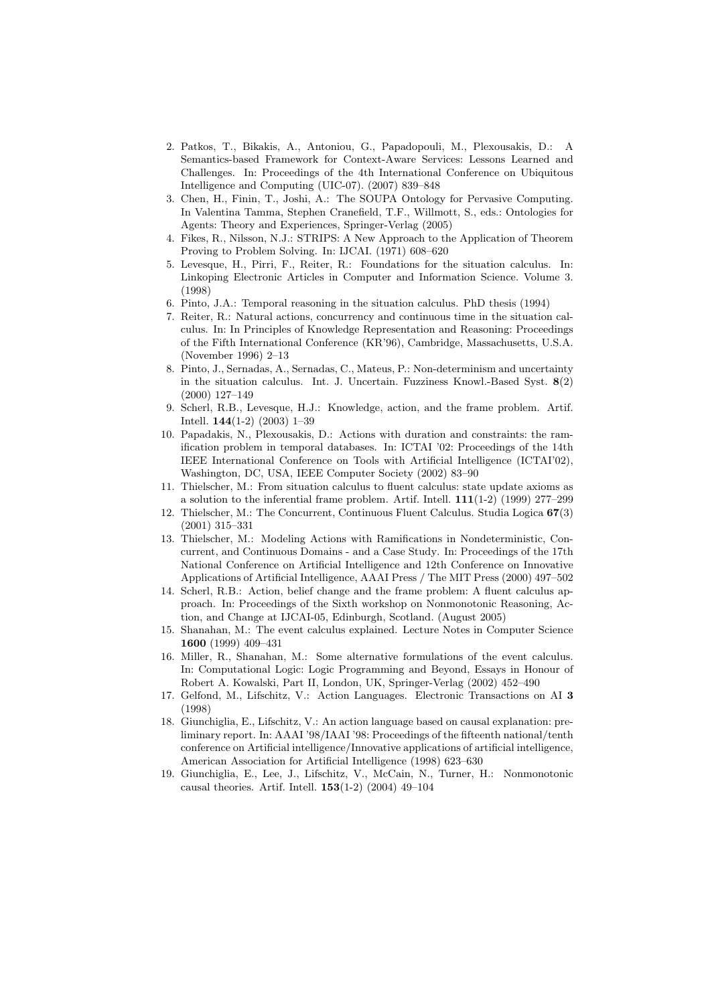- 2. Patkos, T., Bikakis, A., Antoniou, G., Papadopouli, M., Plexousakis, D.: A Semantics-based Framework for Context-Aware Services: Lessons Learned and Challenges. In: Proceedings of the 4th International Conference on Ubiquitous Intelligence and Computing (UIC-07). (2007) 839–848
- 3. Chen, H., Finin, T., Joshi, A.: The SOUPA Ontology for Pervasive Computing. In Valentina Tamma, Stephen Cranefield, T.F., Willmott, S., eds.: Ontologies for Agents: Theory and Experiences, Springer-Verlag (2005)
- 4. Fikes, R., Nilsson, N.J.: STRIPS: A New Approach to the Application of Theorem Proving to Problem Solving. In: IJCAI. (1971) 608–620
- 5. Levesque, H., Pirri, F., Reiter, R.: Foundations for the situation calculus. In: Linkoping Electronic Articles in Computer and Information Science. Volume 3. (1998)
- 6. Pinto, J.A.: Temporal reasoning in the situation calculus. PhD thesis (1994)
- 7. Reiter, R.: Natural actions, concurrency and continuous time in the situation calculus. In: In Principles of Knowledge Representation and Reasoning: Proceedings of the Fifth International Conference (KR'96), Cambridge, Massachusetts, U.S.A. (November 1996) 2–13
- 8. Pinto, J., Sernadas, A., Sernadas, C., Mateus, P.: Non-determinism and uncertainty in the situation calculus. Int. J. Uncertain. Fuzziness Knowl.-Based Syst. 8(2) (2000) 127–149
- 9. Scherl, R.B., Levesque, H.J.: Knowledge, action, and the frame problem. Artif. Intell. 144(1-2) (2003) 1–39
- 10. Papadakis, N., Plexousakis, D.: Actions with duration and constraints: the ramification problem in temporal databases. In: ICTAI '02: Proceedings of the 14th IEEE International Conference on Tools with Artificial Intelligence (ICTAI'02), Washington, DC, USA, IEEE Computer Society (2002) 83–90
- 11. Thielscher, M.: From situation calculus to fluent calculus: state update axioms as a solution to the inferential frame problem. Artif. Intell.  $111(1-2)$  (1999) 277–299
- 12. Thielscher, M.: The Concurrent, Continuous Fluent Calculus. Studia Logica 67(3) (2001) 315–331
- 13. Thielscher, M.: Modeling Actions with Ramifications in Nondeterministic, Concurrent, and Continuous Domains - and a Case Study. In: Proceedings of the 17th National Conference on Artificial Intelligence and 12th Conference on Innovative Applications of Artificial Intelligence, AAAI Press / The MIT Press (2000) 497–502
- 14. Scherl, R.B.: Action, belief change and the frame problem: A fluent calculus approach. In: Proceedings of the Sixth workshop on Nonmonotonic Reasoning, Action, and Change at IJCAI-05, Edinburgh, Scotland. (August 2005)
- 15. Shanahan, M.: The event calculus explained. Lecture Notes in Computer Science 1600 (1999) 409–431
- 16. Miller, R., Shanahan, M.: Some alternative formulations of the event calculus. In: Computational Logic: Logic Programming and Beyond, Essays in Honour of Robert A. Kowalski, Part II, London, UK, Springer-Verlag (2002) 452–490
- 17. Gelfond, M., Lifschitz, V.: Action Languages. Electronic Transactions on AI 3 (1998)
- 18. Giunchiglia, E., Lifschitz, V.: An action language based on causal explanation: preliminary report. In: AAAI '98/IAAI '98: Proceedings of the fifteenth national/tenth conference on Artificial intelligence/Innovative applications of artificial intelligence, American Association for Artificial Intelligence (1998) 623–630
- 19. Giunchiglia, E., Lee, J., Lifschitz, V., McCain, N., Turner, H.: Nonmonotonic causal theories. Artif. Intell. 153(1-2) (2004) 49–104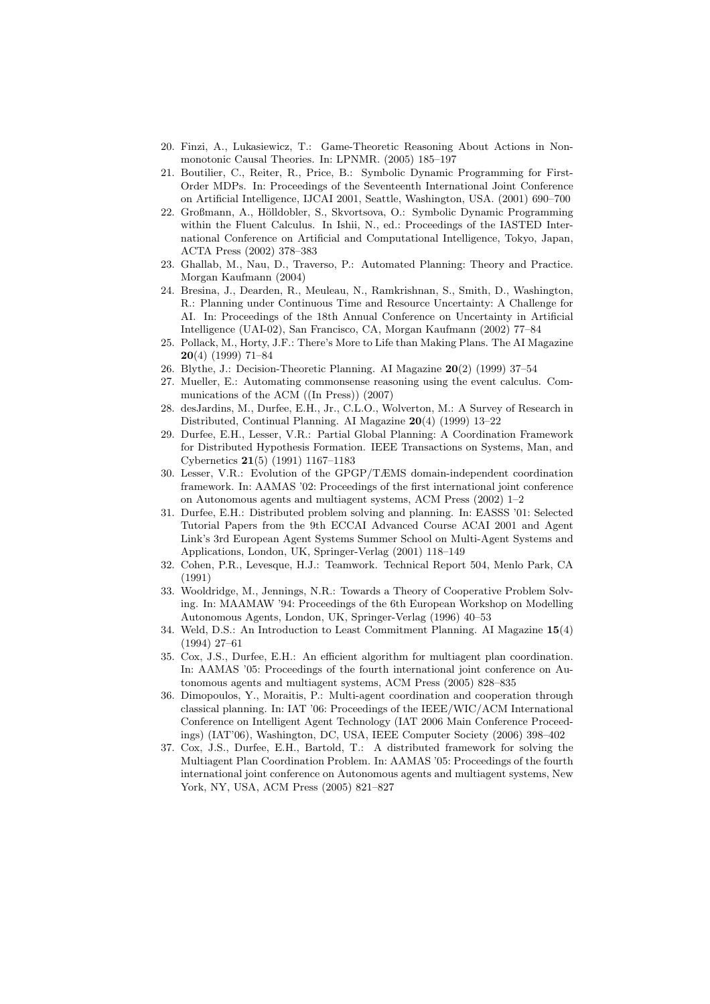- 20. Finzi, A., Lukasiewicz, T.: Game-Theoretic Reasoning About Actions in Nonmonotonic Causal Theories. In: LPNMR. (2005) 185–197
- 21. Boutilier, C., Reiter, R., Price, B.: Symbolic Dynamic Programming for First-Order MDPs. In: Proceedings of the Seventeenth International Joint Conference on Artificial Intelligence, IJCAI 2001, Seattle, Washington, USA. (2001) 690–700
- 22. Großmann, A., Hölldobler, S., Skvortsova, O.: Symbolic Dynamic Programming within the Fluent Calculus. In Ishii, N., ed.: Proceedings of the IASTED International Conference on Artificial and Computational Intelligence, Tokyo, Japan, ACTA Press (2002) 378–383
- 23. Ghallab, M., Nau, D., Traverso, P.: Automated Planning: Theory and Practice. Morgan Kaufmann (2004)
- 24. Bresina, J., Dearden, R., Meuleau, N., Ramkrishnan, S., Smith, D., Washington, R.: Planning under Continuous Time and Resource Uncertainty: A Challenge for AI. In: Proceedings of the 18th Annual Conference on Uncertainty in Artificial Intelligence (UAI-02), San Francisco, CA, Morgan Kaufmann (2002) 77–84
- 25. Pollack, M., Horty, J.F.: There's More to Life than Making Plans. The AI Magazine 20(4) (1999) 71–84
- 26. Blythe, J.: Decision-Theoretic Planning. AI Magazine 20(2) (1999) 37–54
- 27. Mueller, E.: Automating commonsense reasoning using the event calculus. Communications of the ACM ((In Press)) (2007)
- 28. desJardins, M., Durfee, E.H., Jr., C.L.O., Wolverton, M.: A Survey of Research in Distributed, Continual Planning. AI Magazine 20(4) (1999) 13–22
- 29. Durfee, E.H., Lesser, V.R.: Partial Global Planning: A Coordination Framework for Distributed Hypothesis Formation. IEEE Transactions on Systems, Man, and Cybernetics 21(5) (1991) 1167–1183
- 30. Lesser, V.R.: Evolution of the GPGP/TÆMS domain-independent coordination framework. In: AAMAS '02: Proceedings of the first international joint conference on Autonomous agents and multiagent systems, ACM Press (2002) 1–2
- 31. Durfee, E.H.: Distributed problem solving and planning. In: EASSS '01: Selected Tutorial Papers from the 9th ECCAI Advanced Course ACAI 2001 and Agent Link's 3rd European Agent Systems Summer School on Multi-Agent Systems and Applications, London, UK, Springer-Verlag (2001) 118–149
- 32. Cohen, P.R., Levesque, H.J.: Teamwork. Technical Report 504, Menlo Park, CA (1991)
- 33. Wooldridge, M., Jennings, N.R.: Towards a Theory of Cooperative Problem Solving. In: MAAMAW '94: Proceedings of the 6th European Workshop on Modelling Autonomous Agents, London, UK, Springer-Verlag (1996) 40–53
- 34. Weld, D.S.: An Introduction to Least Commitment Planning. AI Magazine 15(4) (1994) 27–61
- 35. Cox, J.S., Durfee, E.H.: An efficient algorithm for multiagent plan coordination. In: AAMAS '05: Proceedings of the fourth international joint conference on Autonomous agents and multiagent systems, ACM Press (2005) 828–835
- 36. Dimopoulos, Y., Moraitis, P.: Multi-agent coordination and cooperation through classical planning. In: IAT '06: Proceedings of the IEEE/WIC/ACM International Conference on Intelligent Agent Technology (IAT 2006 Main Conference Proceedings) (IAT'06), Washington, DC, USA, IEEE Computer Society (2006) 398–402
- 37. Cox, J.S., Durfee, E.H., Bartold, T.: A distributed framework for solving the Multiagent Plan Coordination Problem. In: AAMAS '05: Proceedings of the fourth international joint conference on Autonomous agents and multiagent systems, New York, NY, USA, ACM Press (2005) 821–827